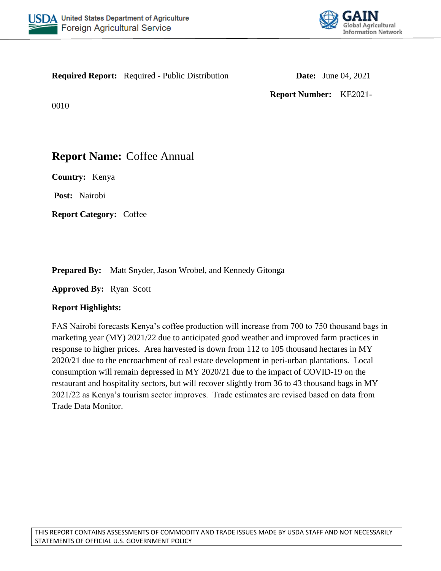



**Required Report:** Required - Public Distribution **Date:** June 04, 2021

**Report Number:** KE2021-

0010

# **Report Name:** Coffee Annual

**Country:** Kenya

**Post:** Nairobi

**Report Category:** Coffee

**Prepared By:** Matt Snyder, Jason Wrobel, and Kennedy Gitonga

**Approved By:** Ryan Scott

# **Report Highlights:**

FAS Nairobi forecasts Kenya's coffee production will increase from 700 to 750 thousand bags in marketing year (MY) 2021/22 due to anticipated good weather and improved farm practices in response to higher prices. Area harvested is down from 112 to 105 thousand hectares in MY 2020/21 due to the encroachment of real estate development in peri-urban plantations. Local consumption will remain depressed in MY 2020/21 due to the impact of COVID-19 on the restaurant and hospitality sectors, but will recover slightly from 36 to 43 thousand bags in MY 2021/22 as Kenya's tourism sector improves. Trade estimates are revised based on data from Trade Data Monitor.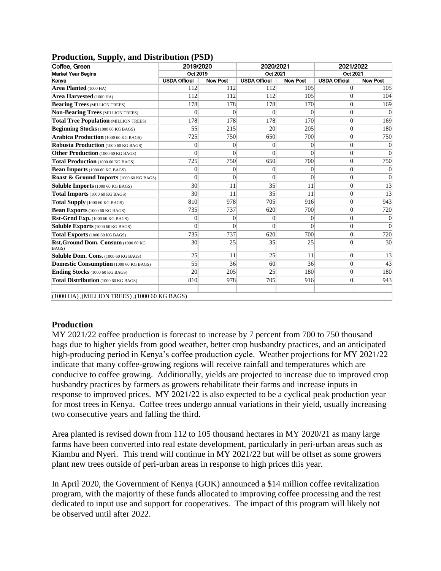| Coffee, Green                                 | 2019/2020            |                 | 2020/2021            |                 | 2021/2022<br>Oct 2021 |                 |
|-----------------------------------------------|----------------------|-----------------|----------------------|-----------------|-----------------------|-----------------|
| <b>Market Year Begins</b>                     | Oct 2019             |                 | Oct 2021             |                 |                       |                 |
| Kenya                                         | <b>USDA Official</b> | <b>New Post</b> | <b>USDA Official</b> | <b>New Post</b> | <b>USDA Official</b>  | <b>New Post</b> |
| Area Planted (1000 HA)                        | 112                  | 112             | 112                  | 105             | $\Omega$              | 105             |
| Area Harvested (1000 HA)                      | 112                  | 112             | 112                  | 105             | $\overline{0}$        | 104             |
| <b>Bearing Trees (MILLION TREES)</b>          | 178                  | 178             | 178                  | 170             | $\vert 0 \vert$       | 169             |
| <b>Non-Bearing Trees (MILLION TREES)</b>      | $\Omega$             | $\theta$        | $\Omega$             | $\Omega$        | $\vert 0 \vert$       | $\theta$        |
| <b>Total Tree Population (MILLION TREES)</b>  | 178                  | 178             | 178                  | 170             | $\vert 0 \vert$       | 169             |
| Beginning Stocks (1000 60 KG BAGS)            | 55                   | 215             | 20                   | 205             | $\vert 0 \vert$       | 180             |
| <b>Arabica Production (1000 60 KG BAGS)</b>   | 725                  | 750             | 650                  | 700             | $\vert 0 \vert$       | 750             |
| Robusta Production (1000 60 KG BAGS)          | $\Omega$             | $\overline{0}$  | $\Omega$             | $\overline{0}$  | $\overline{0}$        | $\overline{0}$  |
| Other Production (1000 60 KG BAGS)            | $\Omega$             | $\theta$        | $\Omega$             | $\Omega$        | $\overline{0}$        | $\overline{0}$  |
| Total Production (1000 60 KG BAGS)            | 725                  | 750             | 650                  | 700             | $\vert 0 \vert$       | 750             |
| Bean Imports (1000 60 KG BAGS)                | $\vert 0 \vert$      | $\overline{0}$  | $\overline{0}$       | $\vert 0 \vert$ | $\vert 0 \vert$       | $\mathbf{0}$    |
| Roast & Ground Imports (1000 60 KG BAGS)      | $\Omega$             | $\theta$        | $\theta$             | $\theta$        | $\Omega$              | $\theta$        |
| Soluble Imports (1000 60 KG BAGS)             | 30 <sup>°</sup>      | 11              | 35                   | 11              | $\overline{0}$        | 13              |
| Total Imports (1000 60 KG BAGS)               | 30 <sup>°</sup>      | 11              | 35                   | 11              | $\vert 0 \vert$       | 13              |
| Total Supply (1000 60 KG BAGS)                | 810                  | 978             | 705                  | 916             | $\overline{0}$        | 943             |
| <b>Bean Exports (1000 60 KG BAGS)</b>         | 735                  | 737             | 620                  | 700             | $\vert 0 \vert$       | 720             |
| Rst-Grnd Exp. (1000 60 KG BAGS)               | $\Omega$             | $\Omega$        | $\Omega$             | $\Omega$        | $\overline{0}$        | $\overline{0}$  |
| Soluble Exports (1000 60 KG BAGS)             | $\Omega$             | $\Omega$        | $\Omega$             | $\Omega$        | 0                     | $\theta$        |
| Total Exports (1000 60 KG BAGS)               | 735                  | 737             | 620                  | 700             | $\vert 0 \vert$       | 720             |
| Rst, Ground Dom. Consum (1000 60 KG<br>BAGS)  | 30 <sup>°</sup>      | 25              | 35                   | 25              | $\Omega$              | 30              |
| Soluble Dom. Cons. (1000 60 KG BAGS)          | 25                   | 11              | 25                   | 11              | $\vert 0 \vert$       | 13              |
| Domestic Consumption (1000 60 KG BAGS)        | 55                   | 36              | 60                   | 36              | $\vert 0 \vert$       | 43              |
| Ending Stocks (1000 60 KG BAGS)               | 20                   | 205             | 25                   | 180             | $\Omega$              | 180             |
| Total Distribution (1000 60 KG BAGS)          | 810                  | 978             | 705                  | 916             | 0                     | 943             |
| (1000 HA), (MILLION TREES), (1000 60 KG BAGS) |                      |                 |                      |                 |                       |                 |

#### **Production, Supply, and Distribution (PSD)**

#### **Production**

MY 2021/22 coffee production is forecast to increase by 7 percent from 700 to 750 thousand bags due to higher yields from good weather, better crop husbandry practices, and an anticipated high-producing period in Kenya's coffee production cycle. Weather projections for MY 2021/22 indicate that many coffee-growing regions will receive rainfall and temperatures which are conducive to coffee growing. Additionally, yields are projected to increase due to improved crop husbandry practices by farmers as growers rehabilitate their farms and increase inputs in response to improved prices. MY 2021/22 is also expected to be a cyclical peak production year for most trees in Kenya. Coffee trees undergo annual variations in their yield, usually increasing two consecutive years and falling the third.

Area planted is revised down from 112 to 105 thousand hectares in MY 2020/21 as many large farms have been converted into real estate development, particularly in peri-urban areas such as Kiambu and Nyeri. This trend will continue in MY 2021/22 but will be offset as some growers plant new trees outside of peri-urban areas in response to high prices this year.

In April 2020, the Government of Kenya (GOK) announced a \$14 million coffee revitalization program, with the majority of these funds allocated to improving coffee processing and the rest dedicated to input use and support for cooperatives. The impact of this program will likely not be observed until after 2022.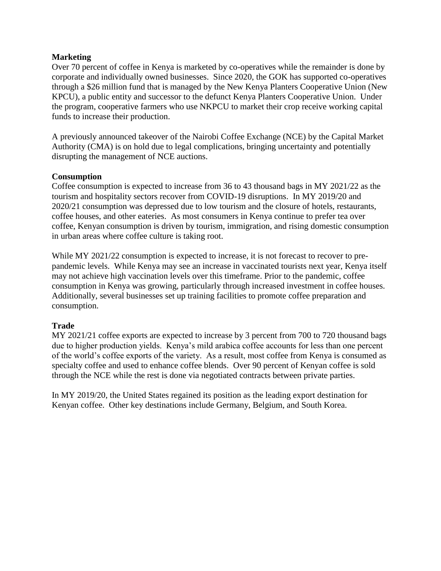## **Marketing**

Over 70 percent of coffee in Kenya is marketed by co-operatives while the remainder is done by corporate and individually owned businesses. Since 2020, the GOK has supported co-operatives through a \$26 million fund that is managed by the New Kenya Planters Cooperative Union (New KPCU), a public entity and successor to the defunct Kenya Planters Cooperative Union. Under the program, cooperative farmers who use NKPCU to market their crop receive working capital funds to increase their production.

A previously announced takeover of the Nairobi Coffee Exchange (NCE) by the Capital Market Authority (CMA) is on hold due to legal complications, bringing uncertainty and potentially disrupting the management of NCE auctions.

## **Consumption**

Coffee consumption is expected to increase from 36 to 43 thousand bags in MY 2021/22 as the tourism and hospitality sectors recover from COVID-19 disruptions. In MY 2019/20 and 2020/21 consumption was depressed due to low tourism and the closure of hotels, restaurants, coffee houses, and other eateries. As most consumers in Kenya continue to prefer tea over coffee, Kenyan consumption is driven by tourism, immigration, and rising domestic consumption in urban areas where coffee culture is taking root.

While MY 2021/22 consumption is expected to increase, it is not forecast to recover to prepandemic levels. While Kenya may see an increase in vaccinated tourists next year, Kenya itself may not achieve high vaccination levels over this timeframe. Prior to the pandemic, coffee consumption in Kenya was growing, particularly through increased investment in coffee houses. Additionally, several businesses set up training facilities to promote coffee preparation and consumption.

# **Trade**

MY 2021/21 coffee exports are expected to increase by 3 percent from 700 to 720 thousand bags due to higher production yields. Kenya's mild arabica coffee accounts for less than one percent of the world's coffee exports of the variety. As a result, most coffee from Kenya is consumed as specialty coffee and used to enhance coffee blends. Over 90 percent of Kenyan coffee is sold through the NCE while the rest is done via negotiated contracts between private parties.

In MY 2019/20, the United States regained its position as the leading export destination for Kenyan coffee. Other key destinations include Germany, Belgium, and South Korea.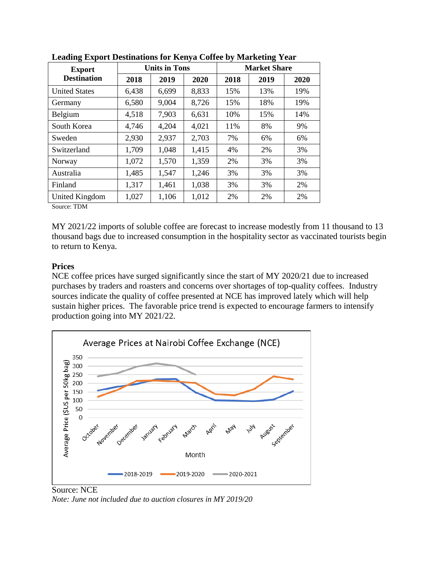| <b>Export</b><br><b>Destination</b> |       | <b>Units in Tons</b> |       | <b>Market Share</b> |      |      |  |
|-------------------------------------|-------|----------------------|-------|---------------------|------|------|--|
|                                     | 2018  | 2019                 | 2020  | 2018                | 2019 | 2020 |  |
| <b>United States</b>                | 6,438 | 6,699                | 8,833 | 15%                 | 13%  | 19%  |  |
| Germany                             | 6,580 | 9,004                | 8,726 | 15%                 | 18%  | 19%  |  |
| Belgium                             | 4,518 | 7,903                | 6,631 | 10%                 | 15%  | 14%  |  |
| South Korea                         | 4,746 | 4,204                | 4,021 | 11%                 | 8%   | 9%   |  |
| Sweden                              | 2,930 | 2,937                | 2,703 | 7%                  | 6%   | 6%   |  |
| Switzerland                         | 1,709 | 1,048                | 1,415 | 4%                  | 2%   | 3%   |  |
| Norway                              | 1,072 | 1,570                | 1,359 | 2%                  | 3%   | 3%   |  |
| Australia                           | 1,485 | 1,547                | 1,246 | 3%                  | 3%   | 3%   |  |
| Finland                             | 1,317 | 1,461                | 1,038 | 3%                  | 3%   | 2%   |  |
| United Kingdom                      | 1,027 | 1,106                | 1,012 | 2%                  | 2%   | 2%   |  |

**Leading Export Destinations for Kenya Coffee by Marketing Year**

Source: TDM

MY 2021/22 imports of soluble coffee are forecast to increase modestly from 11 thousand to 13 thousand bags due to increased consumption in the hospitality sector as vaccinated tourists begin to return to Kenya.

## **Prices**

NCE coffee prices have surged significantly since the start of MY 2020/21 due to increased purchases by traders and roasters and concerns over shortages of top-quality coffees. Industry sources indicate the quality of coffee presented at NCE has improved lately which will help sustain higher prices. The favorable price trend is expected to encourage farmers to intensify production going into MY 2021/22.



Source: NCE *Note: June not included due to auction closures in MY 2019/20*